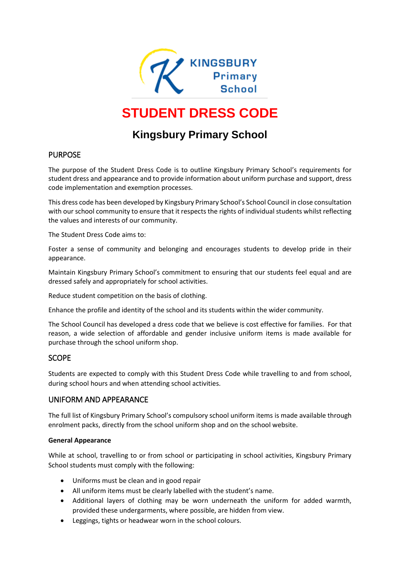

# **STUDENT DRESS CODE**

# **Kingsbury Primary School**

# PURPOSE

The purpose of the Student Dress Code is to outline Kingsbury Primary School's requirements for student dress and appearance and to provide information about uniform purchase and support, dress code implementation and exemption processes.

This dress code has been developed by Kingsbury Primary School's School Council in close consultation with our school community to ensure that it respects the rights of individual students whilst reflecting the values and interests of our community.

The Student Dress Code aims to:

Foster a sense of community and belonging and encourages students to develop pride in their appearance.

Maintain Kingsbury Primary School's commitment to ensuring that our students feel equal and are dressed safely and appropriately for school activities.

Reduce student competition on the basis of clothing.

Enhance the profile and identity of the school and its students within the wider community.

The School Council has developed a dress code that we believe is cost effective for families. For that reason, a wide selection of affordable and gender inclusive uniform items is made available for purchase through the school uniform shop.

# SCOPE

Students are expected to comply with this Student Dress Code while travelling to and from school, during school hours and when attending school activities.

# UNIFORM AND APPEARANCE

The full list of Kingsbury Primary School's compulsory school uniform items is made available through enrolment packs, directly from the school uniform shop and on the school website.

#### **General Appearance**

While at school, travelling to or from school or participating in school activities, Kingsbury Primary School students must comply with the following:

- Uniforms must be clean and in good repair
- All uniform items must be clearly labelled with the student's name.
- Additional layers of clothing may be worn underneath the uniform for added warmth, provided these undergarments, where possible, are hidden from view.
- Leggings, tights or headwear worn in the school colours.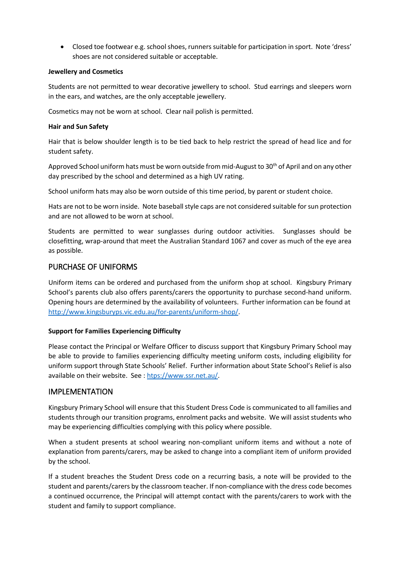Closed toe footwear e.g. school shoes, runners suitable for participation in sport. Note 'dress' shoes are not considered suitable or acceptable.

#### **Jewellery and Cosmetics**

Students are not permitted to wear decorative jewellery to school. Stud earrings and sleepers worn in the ears, and watches, are the only acceptable jewellery.

Cosmetics may not be worn at school. Clear nail polish is permitted.

#### **Hair and Sun Safety**

Hair that is below shoulder length is to be tied back to help restrict the spread of head lice and for student safety.

Approved School uniform hats must be worn outside from mid-August to 30<sup>th</sup> of April and on any other day prescribed by the school and determined as a high UV rating.

School uniform hats may also be worn outside of this time period, by parent or student choice.

Hats are not to be worn inside. Note baseball style caps are not considered suitable for sun protection and are not allowed to be worn at school.

Students are permitted to wear sunglasses during outdoor activities. Sunglasses should be closefitting, wrap-around that meet the Australian Standard 1067 and cover as much of the eye area as possible.

# PURCHASE OF UNIFORMS

Uniform items can be ordered and purchased from the uniform shop at school. Kingsbury Primary School's parents club also offers parents/carers the opportunity to purchase second-hand uniform. Opening hours are determined by the availability of volunteers. Further information can be found at [http://www.kingsburyps.vic.edu.au/for-parents/uniform-shop/.](http://www.kingsburyps.vic.edu.au/for-parents/uniform-shop/)

#### **Support for Families Experiencing Difficulty**

Please contact the Principal or Welfare Officer to discuss support that Kingsbury Primary School may be able to provide to families experiencing difficulty meeting uniform costs, including eligibility for uniform support through State Schools' Relief. Further information about State School's Relief is also available on their website. See [: htps://www.ssr.net.au/.](https://www.ssr.net.au/)

# IMPLEMENTATION

Kingsbury Primary School will ensure that this Student Dress Code is communicated to all families and students through our transition programs, enrolment packs and website. We will assist students who may be experiencing difficulties complying with this policy where possible.

When a student presents at school wearing non-compliant uniform items and without a note of explanation from parents/carers, may be asked to change into a compliant item of uniform provided by the school.

If a student breaches the Student Dress code on a recurring basis, a note will be provided to the student and parents/carers by the classroom teacher. If non-compliance with the dress code becomes a continued occurrence, the Principal will attempt contact with the parents/carers to work with the student and family to support compliance.